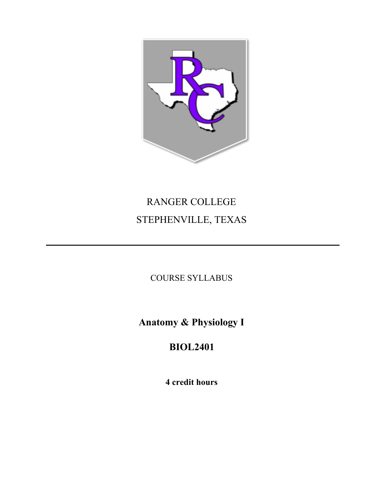

# RANGER COLLEGE STEPHENVILLE, TEXAS

COURSE SYLLABUS

**Anatomy & Physiology I**

**BIOL2401**

**4 credit hours**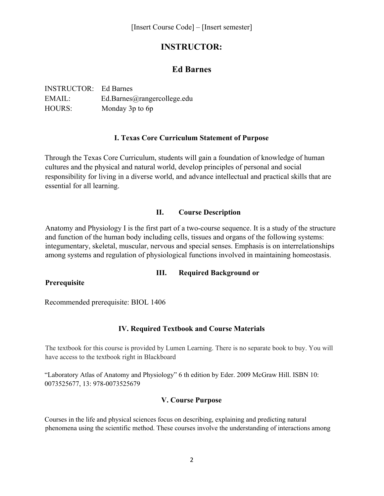# **INSTRUCTOR:**

## **Ed Barnes**

| <b>INSTRUCTOR:</b> Ed Barnes |                             |
|------------------------------|-----------------------------|
| EMAIL:                       | Ed.Barnes@rangercollege.edu |
| <b>HOURS:</b>                | Monday 3p to 6p             |

### **I. Texas Core Curriculum Statement of Purpose**

Through the Texas Core Curriculum, students will gain a foundation of knowledge of human cultures and the physical and natural world, develop principles of personal and social responsibility for living in a diverse world, and advance intellectual and practical skills that are essential for all learning.

### **II. Course Description**

Anatomy and Physiology I is the first part of a two-course sequence. It is a study of the structure and function of the human body including cells, tissues and organs of the following systems: integumentary, skeletal, muscular, nervous and special senses. Emphasis is on interrelationships among systems and regulation of physiological functions involved in maintaining homeostasis.

### **III. Required Background or**

### **Prerequisite**

Recommended prerequisite: BIOL 1406

## **IV. Required Textbook and Course Materials**

The textbook for this course is provided by Lumen Learning. There is no separate book to buy. You will have access to the textbook right in Blackboard

"Laboratory Atlas of Anatomy and Physiology" 6 th edition by Eder. 2009 McGraw Hill. ISBN 10: 0073525677, 13: 978-0073525679

## **V. Course Purpose**

Courses in the life and physical sciences focus on describing, explaining and predicting natural phenomena using the scientific method. These courses involve the understanding of interactions among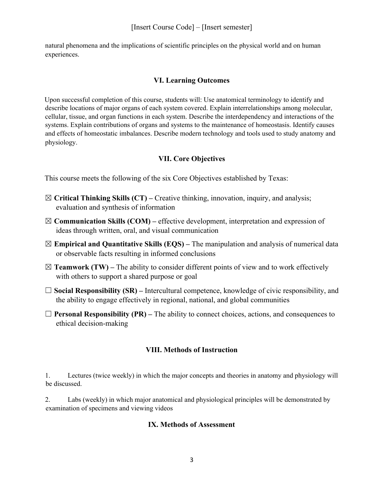natural phenomena and the implications of scientific principles on the physical world and on human experiences.

### **VI. Learning Outcomes**

Upon successful completion of this course, students will: Use anatomical terminology to identify and describe locations of major organs of each system covered. Explain interrelationships among molecular, cellular, tissue, and organ functions in each system. Describe the interdependency and interactions of the systems. Explain contributions of organs and systems to the maintenance of homeostasis. Identify causes and effects of homeostatic imbalances. Describe modern technology and tools used to study anatomy and physiology.

## **VII. Core Objectives**

This course meets the following of the six Core Objectives established by Texas:

- ☒ **Critical Thinking Skills (CT)** Creative thinking, innovation, inquiry, and analysis; evaluation and synthesis of information
- ☒**Communication Skills (COM)** effective development, interpretation and expression of ideas through written, oral, and visual communication
- ☒**Empirical and Quantitative Skills (EQS)** The manipulation and analysis of numerical data or observable facts resulting in informed conclusions
- $\boxtimes$  **Teamwork (TW)** The ability to consider different points of view and to work effectively with others to support a shared purpose or goal
- ☐ **Social Responsibility (SR)** Intercultural competence, knowledge of civic responsibility, and the ability to engage effectively in regional, national, and global communities
- $\Box$  **Personal Responsibility (PR)** The ability to connect choices, actions, and consequences to ethical decision-making

## **VIII. Methods of Instruction**

1. Lectures (twice weekly) in which the major concepts and theories in anatomy and physiology will be discussed.

2. Labs (weekly) in which major anatomical and physiological principles will be demonstrated by examination of specimens and viewing videos

### **IX. Methods of Assessment**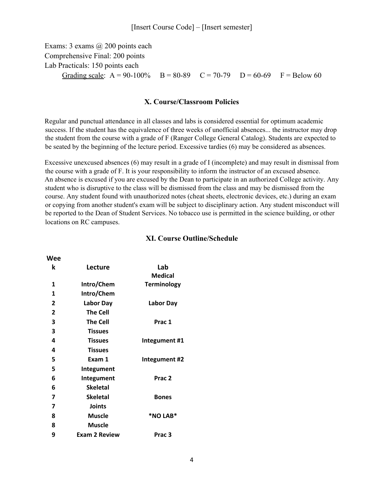#### [Insert Course Code] – [Insert semester]

Exams: 3 exams @ 200 points each Comprehensive Final: 200 points Lab Practicals: 150 points each Grading scale:  $A = 90-100\%$  B = 80-89 C = 70-79 D = 60-69 F = Below 60

#### **X. Course/Classroom Policies**

Regular and punctual attendance in all classes and labs is considered essential for optimum academic success. If the student has the equivalence of three weeks of unofficial absences... the instructor may drop the student from the course with a grade of F (Ranger College General Catalog). Students are expected to be seated by the beginning of the lecture period. Excessive tardies (6) may be considered as absences.

Excessive unexcused absences (6) may result in a grade of I (incomplete) and may result in dismissal from the course with a grade of F. It is your responsibility to inform the instructor of an excused absence. An absence is excused if you are excused by the Dean to participate in an authorized College activity. Any student who is disruptive to the class will be dismissed from the class and may be dismissed from the course. Any student found with unauthorized notes (cheat sheets, electronic devices, etc.) during an exam or copying from another student's exam will be subject to disciplinary action. Any student misconduct will be reported to the Dean of Student Services. No tobacco use is permitted in the science building, or other locations on RC campuses.

| k            | Lecture              | Lab<br><b>Medical</b> |
|--------------|----------------------|-----------------------|
| 1            | Intro/Chem           | <b>Terminology</b>    |
| 1            | Intro/Chem           |                       |
| $\mathbf{2}$ | Labor Day            | Labor Day             |
| $\mathbf{2}$ | <b>The Cell</b>      |                       |
| 3            | <b>The Cell</b>      | Prac 1                |
| 3            | <b>Tissues</b>       |                       |
| 4            | <b>Tissues</b>       | Integument #1         |
| 4            | <b>Tissues</b>       |                       |
| 5            | Exam 1               | Integument #2         |
| 5            | Integument           |                       |
| 6            | Integument           | Prac <sub>2</sub>     |
| 6            | <b>Skeletal</b>      |                       |
| 7            | <b>Skeletal</b>      | <b>Bones</b>          |
| 7            | <b>Joints</b>        |                       |
| 8            | <b>Muscle</b>        | *NO LAB*              |
| 8            | <b>Muscle</b>        |                       |
| 9            | <b>Exam 2 Review</b> | Prac 3                |

**Wee**

#### **XI. Course Outline/Schedule**